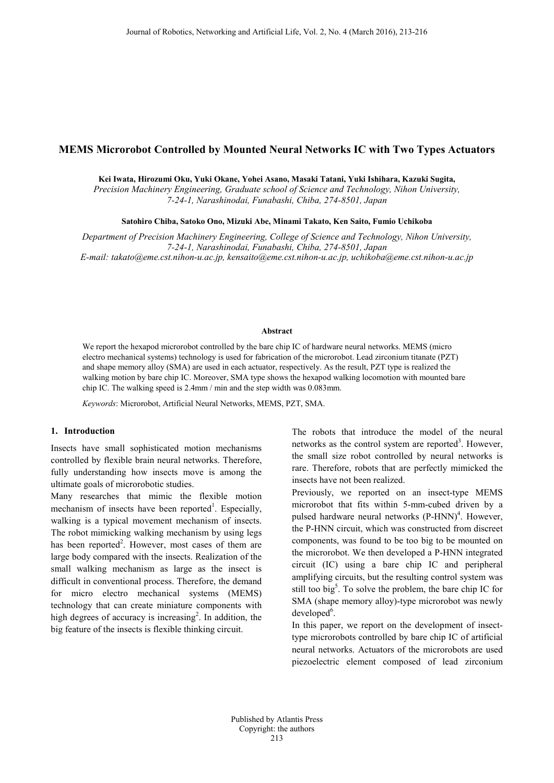# **MEMS Microrobot Controlled by Mounted Neural Networks IC with Two Types Actuators**

**Kei Iwata, Hirozumi Oku, Yuki Okane, Yohei Asano, Masaki Tatani, Yuki Ishihara, Kazuki Sugita,**

*Precision Machinery Engineering, Graduate school of Science and Technology, Nihon University, 7-24-1, Narashinodai, Funabashi, Chiba, 274-8501, Japan*

**Satohiro Chiba, Satoko Ono, Mizuki Abe, Minami Takato, Ken Saito, Fumio Uchikoba**

*Department of Precision Machinery Engineering, College of Science and Technology, Nihon University, 7-24-1, Narashinodai, Funabashi, Chiba, 274-8501, Japan E-mail: takato@eme.cst.nihon-u.ac.jp, kensaito@eme.cst.nihon-u.ac.jp, uchikoba@eme.cst.nihon-u.ac.jp*

### **Abstract**

We report the hexapod microrobot controlled by the bare chip IC of hardware neural networks. MEMS (micro electro mechanical systems) technology is used for fabrication of the microrobot. Lead zirconium titanate (PZT) and shape memory alloy (SMA) are used in each actuator, respectively. As the result, PZT type is realized the walking motion by bare chip IC. Moreover, SMA type shows the hexapod walking locomotion with mounted bare chip IC. The walking speed is 2.4mm / min and the step width was 0.083mm.

*Keywords*: Microrobot, Artificial Neural Networks, MEMS, PZT, SMA.

### **1. Introduction**

Insects have small sophisticated motion mechanisms controlled by flexible brain neural networks. Therefore, fully understanding how insects move is among the ultimate goals of microrobotic studies.

Many researches that mimic the flexible motion mechanism of insects have been reported<sup>1</sup>. Especially, walking is a typical movement mechanism of insects. The robot mimicking walking mechanism by using legs has been reported<sup>2</sup>. However, most cases of them are large body compared with the insects. Realization of the small walking mechanism as large as the insect is difficult in conventional process. Therefore, the demand for micro electro mechanical systems (MEMS) technology that can create miniature components with high degrees of accuracy is increasing<sup>2</sup>. In addition, the big feature of the insects is flexible thinking circuit.

The robots that introduce the model of the neural networks as the control system are reported<sup>3</sup>. However, the small size robot controlled by neural networks is rare. Therefore, robots that are perfectly mimicked the insects have not been realized.

Previously, we reported on an insect-type MEMS microrobot that fits within 5-mm-cubed driven by a pulsed hardware neural networks  $(P-HNN)^4$ . However, the P-HNN circuit, which was constructed from discreet components, was found to be too big to be mounted on the microrobot. We then developed a P-HNN integrated circuit (IC) using a bare chip IC and peripheral amplifying circuits, but the resulting control system was still too big<sup>5</sup>. To solve the problem, the bare chip IC for SMA (shape memory alloy)-type microrobot was newly developed<sup>6</sup>.

In this paper, we report on the development of insecttype microrobots controlled by bare chip IC of artificial neural networks. Actuators of the microrobots are used piezoelectric element composed of lead zirconium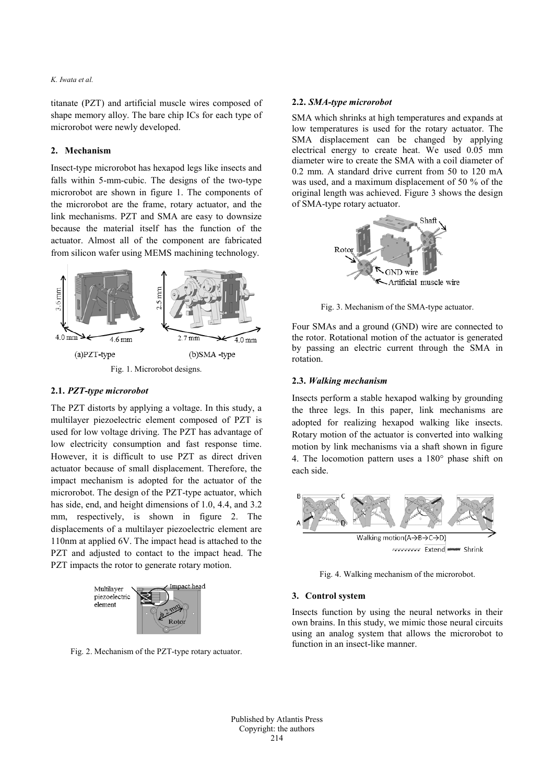### *K. Iwata et al.*

titanate (PZT) and artificial muscle wires composed of shape memory alloy. The bare chip ICs for each type of microrobot were newly developed.

## **2. Mechanism**

Insect-type microrobot has hexapod legs like insects and falls within 5-mm-cubic. The designs of the two-type microrobot are shown in figure 1. The components of the microrobot are the frame, rotary actuator, and the link mechanisms. PZT and SMA are easy to downsize because the material itself has the function of the actuator. Almost all of the component are fabricated from silicon wafer using MEMS machining technology.



### **2.1.** *PZT-type microrobot*

The PZT distorts by applying a voltage. In this study, a multilayer piezoelectric element composed of PZT is used for low voltage driving. The PZT has advantage of low electricity consumption and fast response time. However, it is difficult to use PZT as direct driven actuator because of small displacement. Therefore, the impact mechanism is adopted for the actuator of the microrobot. The design of the PZT-type actuator, which has side, end, and height dimensions of 1.0, 4.4, and 3.2 mm, respectively, is shown in figure 2. The displacements of a multilayer piezoelectric element are 110nm at applied 6V. The impact head is attached to the PZT and adjusted to contact to the impact head. The PZT impacts the rotor to generate rotary motion.



Fig. 2. Mechanism of the PZT-type rotary actuator.

### **2.2.** *SMA-type microrobot*

SMA which shrinks at high temperatures and expands at low temperatures is used for the rotary actuator. The SMA displacement can be changed by applying electrical energy to create heat. We used 0.05 mm diameter wire to create the SMA with a coil diameter of 0.2 mm. A standard drive current from 50 to 120 mA was used, and a maximum displacement of 50 % of the original length was achieved. Figure 3 shows the design of SMA-type rotary actuator.



Fig. 3. Mechanism of the SMA-type actuator.

Four SMAs and a ground (GND) wire are connected to the rotor. Rotational motion of the actuator is generated by passing an electric current through the SMA in rotation.

### **2.3.** *Walking mechanism*

Insects perform a stable hexapod walking by grounding the three legs. In this paper, link mechanisms are adopted for realizing hexapod walking like insects. Rotary motion of the actuator is converted into walking motion by link mechanisms via a shaft shown in figure 4. The locomotion pattern uses a 180° phase shift on each side.



Fig. 4. Walking mechanism of the microrobot.

### **3. Control system**

Insects function by using the neural networks in their own brains. In this study, we mimic those neural circuits using an analog system that allows the microrobot to function in an insect-like manner.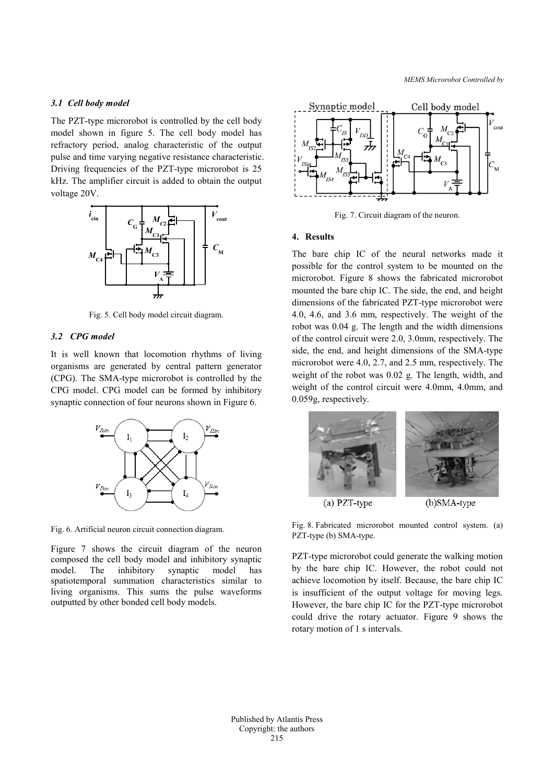### *3.1 Cell body model*

The PZT-type microrobot is controlled by the cell body model shown in figure 5. The cell body model has refractory period, analog characteristic of the output pulse and time varying negative resistance characteristic. Driving frequencies of the PZT-type microrobot is 25 kHz. The amplifier circuit is added to obtain the output voltage 20V.



Fig. 5. Cell body model circuit diagram.

### *3.2 CPG model*

It is well known that locomotion rhythms of living organisms are generated by central pattern generator (CPG). The SMA-type microrobot is controlled by the CPG model. CPG model can be formed by inhibitory synaptic connection of four neurons shown in Figure 6.



Fig. 6. Artificial neuron circuit connection diagram.

Figure 7 shows the circuit diagram of the neuron composed the cell body model and inhibitory synaptic The inhibitory synaptic model has spatiotemporal summation characteristics similar to living organisms. This sums the pulse waveforms outputted by other bonded cell body models.



Fig. 7. Circuit diagram of the neuron.

#### **4. Results**

The bare chip IC of the neural networks made it possible for the control system to be mounted on the microrobot. Figure 8 shows the fabricated microrobot mounted the bare chip IC. The side, the end, and height dimensions of the fabricated PZT-type microrobot were 4.0, 4.6, and 3.6 mm, respectively. The weight of the robot was 0.04 g. The length and the width dimensions of the control circuit were 2.0, 3.0mm, respectively. The side, the end, and height dimensions of the SMA-type microrobot were 4.0, 2.7, and 2.5 mm, respectively. The weight of the robot was 0.02 g. The length, width, and weight of the control circuit were 4.0mm, 4.0mm, and 0.059g, respectively.



Fig. 8. Fabricated microrobot mounted control system. (a) PZT-type (b) SMA-type.

PZT-type microrobot could generate the walking motion by the bare chip IC. However, the robot could not achieve locomotion by itself. Because, the bare chip IC is insufficient of the output voltage for moving legs. However, the bare chip IC for the PZT-type microrobot could drive the rotary actuator. Figure 9 shows the rotary motion of 1 s intervals.